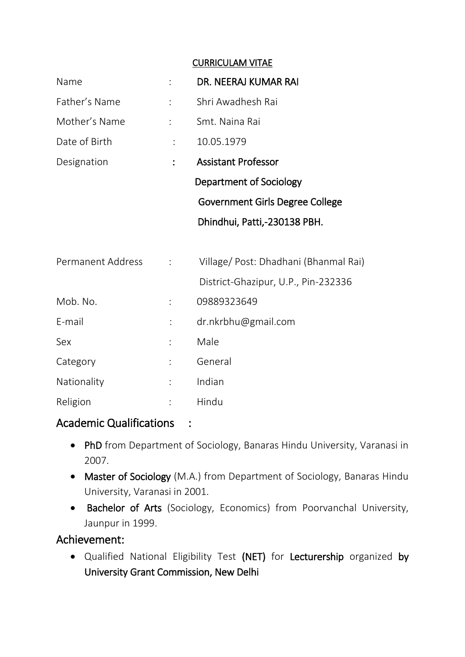#### CURRICULAM VITAE

| Name          |                | DR. NEERAJ KUMAR RAI            |
|---------------|----------------|---------------------------------|
| Father's Name | $\ddot{\cdot}$ | Shri Awadhesh Rai               |
| Mother's Name | $\ddot{\cdot}$ | Smt. Naina Rai                  |
| Date of Birth | ÷              | 10.05.1979                      |
| Designation   |                | <b>Assistant Professor</b>      |
|               |                | Department of Sociology         |
|               |                | Government Girls Degree College |
|               |                | Dhindhui, Patti,-230138 PBH.    |
|               |                |                                 |

| Permanent Address |                      | Village/Post: Dhadhani (Bhanmal Rai) |
|-------------------|----------------------|--------------------------------------|
|                   |                      | District-Ghazipur, U.P., Pin-232336  |
| Mob. No.          |                      | 09889323649                          |
| E-mail            |                      | dr.nkrbhu@gmail.com                  |
| Sex               | $\ddot{\cdot}$       | Male                                 |
| Category          | $\ddot{\cdot}$       | General                              |
| Nationality       | $\ddot{\phantom{a}}$ | Indian                               |
| Religion          |                      | Hindu                                |

### Academic Qualifications :

- PhD from Department of Sociology, Banaras Hindu University, Varanasi in 2007.
- Master of Sociology (M.A.) from Department of Sociology, Banaras Hindu University, Varanasi in 2001.
- Bachelor of Arts (Sociology, Economics) from Poorvanchal University, Jaunpur in 1999.

### Achievement:

 Qualified National Eligibility Test (NET) for Lecturership organized by University Grant Commission, New Delhi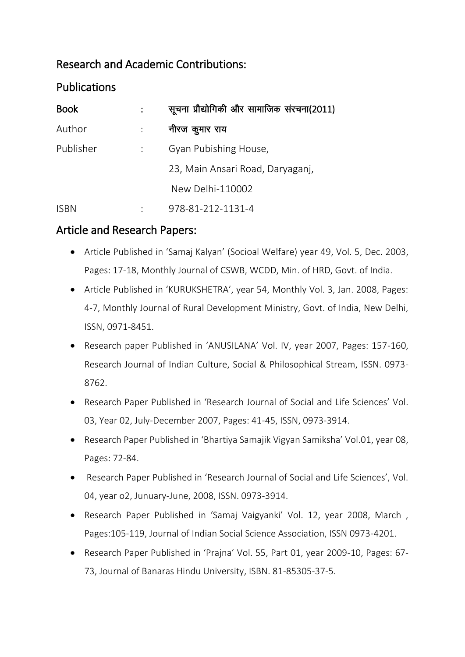# Research and Academic Contributions:

# **Publications**

| <b>Book</b> | सूचना प्रौद्योगिकी और सामाजिक संरचना(2011) |
|-------------|--------------------------------------------|
| Author      | नीरज कुमार राय                             |
| Publisher   | Gyan Pubishing House,                      |
|             | 23, Main Ansari Road, Daryaganj,           |
|             | New Delhi-110002                           |
| <b>ISBN</b> | 978-81-212-1131-4                          |

## Article and Research Papers:

- Article Published in 'Samaj Kalyan' (Socioal Welfare) year 49, Vol. 5, Dec. 2003, Pages: 17-18, Monthly Journal of CSWB, WCDD, Min. of HRD, Govt. of India.
- Article Published in 'KURUKSHETRA', year 54, Monthly Vol. 3, Jan. 2008, Pages: 4-7, Monthly Journal of Rural Development Ministry, Govt. of India, New Delhi, ISSN, 0971-8451.
- Research paper Published in 'ANUSILANA' Vol. IV, year 2007, Pages: 157-160, Research Journal of Indian Culture, Social & Philosophical Stream, ISSN. 0973- 8762.
- Research Paper Published in 'Research Journal of Social and Life Sciences' Vol. 03, Year 02, July-December 2007, Pages: 41-45, ISSN, 0973-3914.
- Research Paper Published in 'Bhartiya Samajik Vigyan Samiksha' Vol.01, year 08, Pages: 72-84.
- Research Paper Published in 'Research Journal of Social and Life Sciences', Vol. 04, year o2, Junuary-June, 2008, ISSN. 0973-3914.
- Research Paper Published in 'Samaj Vaigyanki' Vol. 12, year 2008, March , Pages:105-119, Journal of Indian Social Science Association, ISSN 0973-4201.
- Research Paper Published in 'Prajna' Vol. 55, Part 01, year 2009-10, Pages: 67- 73, Journal of Banaras Hindu University, ISBN. 81-85305-37-5.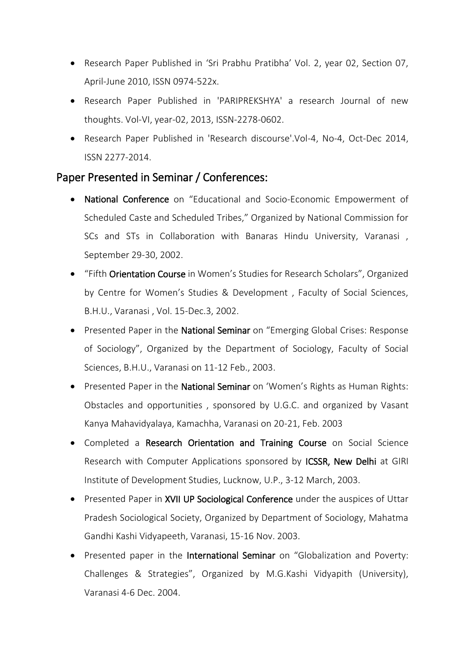- Research Paper Published in 'Sri Prabhu Pratibha' Vol. 2, year 02, Section 07, April-June 2010, ISSN 0974-522x.
- Research Paper Published in 'PARIPREKSHYA' a research Journal of new thoughts. Vol-VI, year-02, 2013, ISSN-2278-0602.
- Research Paper Published in 'Research discourse'.Vol-4, No-4, Oct-Dec 2014, ISSN 2277-2014.

### Paper Presented in Seminar / Conferences:

- National Conference on "Educational and Socio-Economic Empowerment of Scheduled Caste and Scheduled Tribes," Organized by National Commission for SCs and STs in Collaboration with Banaras Hindu University, Varanasi , September 29-30, 2002.
- "Fifth Orientation Course in Women's Studies for Research Scholars", Organized by Centre for Women's Studies & Development , Faculty of Social Sciences, B.H.U., Varanasi , Vol. 15-Dec.3, 2002.
- Presented Paper in the National Seminar on "Emerging Global Crises: Response of Sociology", Organized by the Department of Sociology, Faculty of Social Sciences, B.H.U., Varanasi on 11-12 Feb., 2003.
- Presented Paper in the National Seminar on 'Women's Rights as Human Rights: Obstacles and opportunities , sponsored by U.G.C. and organized by Vasant Kanya Mahavidyalaya, Kamachha, Varanasi on 20-21, Feb. 2003
- Completed a Research Orientation and Training Course on Social Science Research with Computer Applications sponsored by ICSSR, New Delhi at GIRI Institute of Development Studies, Lucknow, U.P., 3-12 March, 2003.
- Presented Paper in XVII UP Sociological Conference under the auspices of Uttar Pradesh Sociological Society, Organized by Department of Sociology, Mahatma Gandhi Kashi Vidyapeeth, Varanasi, 15-16 Nov. 2003.
- Presented paper in the International Seminar on "Globalization and Poverty: Challenges & Strategies", Organized by M.G.Kashi Vidyapith (University), Varanasi 4-6 Dec. 2004.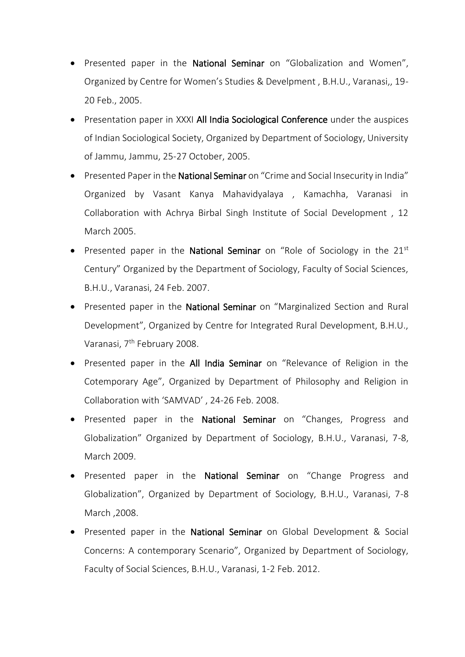- Presented paper in the National Seminar on "Globalization and Women", Organized by Centre for Women's Studies & Develpment , B.H.U., Varanasi,, 19- 20 Feb., 2005.
- Presentation paper in XXXI All India Sociological Conference under the auspices of Indian Sociological Society, Organized by Department of Sociology, University of Jammu, Jammu, 25-27 October, 2005.
- Presented Paper in the National Seminar on "Crime and Social Insecurity in India" Organized by Vasant Kanya Mahavidyalaya , Kamachha, Varanasi in Collaboration with Achrya Birbal Singh Institute of Social Development , 12 March 2005.
- Presented paper in the **National Seminar** on "Role of Sociology in the  $21^{st}$ Century" Organized by the Department of Sociology, Faculty of Social Sciences, B.H.U., Varanasi, 24 Feb. 2007.
- Presented paper in the National Seminar on "Marginalized Section and Rural Development", Organized by Centre for Integrated Rural Development, B.H.U., Varanasi, 7<sup>th</sup> February 2008.
- Presented paper in the All India Seminar on "Relevance of Religion in the Cotemporary Age", Organized by Department of Philosophy and Religion in Collaboration with 'SAMVAD' , 24-26 Feb. 2008.
- Presented paper in the National Seminar on "Changes, Progress and Globalization" Organized by Department of Sociology, B.H.U., Varanasi, 7-8, March 2009.
- Presented paper in the National Seminar on "Change Progress and Globalization", Organized by Department of Sociology, B.H.U., Varanasi, 7-8 March ,2008.
- Presented paper in the National Seminar on Global Development & Social Concerns: A contemporary Scenario", Organized by Department of Sociology, Faculty of Social Sciences, B.H.U., Varanasi, 1-2 Feb. 2012.